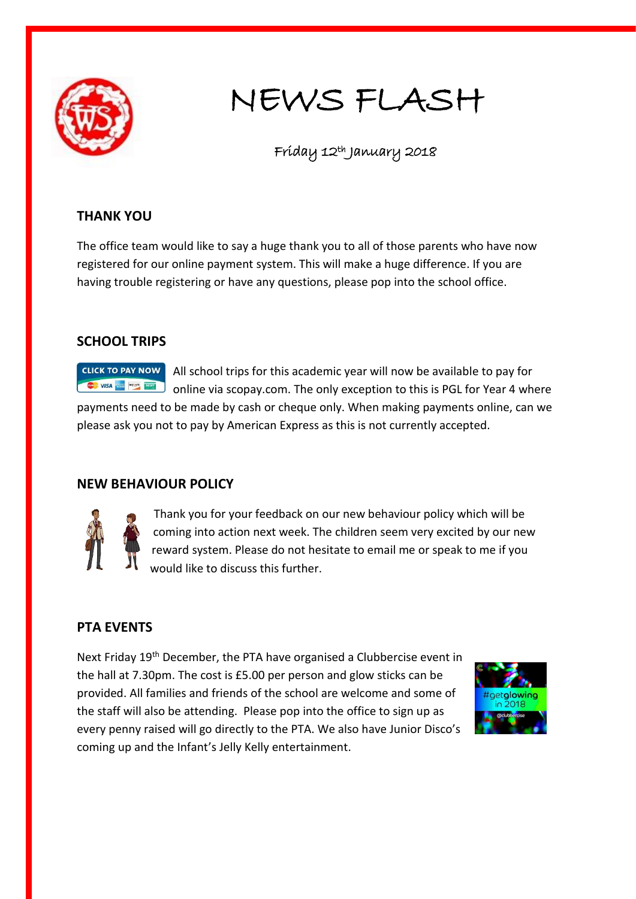

# NEWS FLASH

Friday 12th January 2018

### **THANK YOU**

The office team would like to say a huge thank you to all of those parents who have now registered for our online payment system. This will make a huge difference. If you are having trouble registering or have any questions, please pop into the school office.

#### **SCHOOL TRIPS**

**CLICK TO PAY NOW** All school trips for this academic year will now be available to pay for VISA NEWSFILM online via scopay.com. The only exception to this is PGL for Year 4 where payments need to be made by cash or cheque only. When making payments online, can we please ask you not to pay by American Express as this is not currently accepted.

## **NEW BEHAVIOUR POLICY**



Thank you for your feedback on our new behaviour policy which will be coming into action next week. The children seem very excited by our new reward system. Please do not hesitate to email me or speak to me if you would like to discuss this further.

## **PTA EVENTS**

Next Friday 19<sup>th</sup> December, the PTA have organised a Clubbercise event in the hall at 7.30pm. The cost is £5.00 per person and glow sticks can be provided. All families and friends of the school are welcome and some of the staff will also be attending. Please pop into the office to sign up as every penny raised will go directly to the PTA. We also have Junior Disco's coming up and the Infant's Jelly Kelly entertainment.